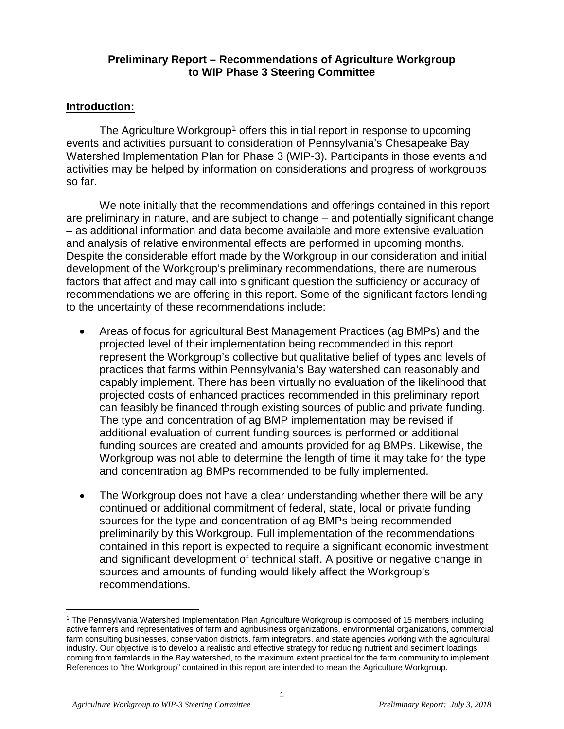#### **Preliminary Report – Recommendations of Agriculture Workgroup to WIP Phase 3 Steering Committee**

#### **Introduction:**

The Agriculture Workgroup<sup>[1](#page-0-0)</sup> offers this initial report in response to upcoming events and activities pursuant to consideration of Pennsylvania's Chesapeake Bay Watershed Implementation Plan for Phase 3 (WIP-3). Participants in those events and activities may be helped by information on considerations and progress of workgroups so far.

We note initially that the recommendations and offerings contained in this report are preliminary in nature, and are subject to change – and potentially significant change – as additional information and data become available and more extensive evaluation and analysis of relative environmental effects are performed in upcoming months. Despite the considerable effort made by the Workgroup in our consideration and initial development of the Workgroup's preliminary recommendations, there are numerous factors that affect and may call into significant question the sufficiency or accuracy of recommendations we are offering in this report. Some of the significant factors lending to the uncertainty of these recommendations include:

- Areas of focus for agricultural Best Management Practices (ag BMPs) and the projected level of their implementation being recommended in this report represent the Workgroup's collective but qualitative belief of types and levels of practices that farms within Pennsylvania's Bay watershed can reasonably and capably implement. There has been virtually no evaluation of the likelihood that projected costs of enhanced practices recommended in this preliminary report can feasibly be financed through existing sources of public and private funding. The type and concentration of ag BMP implementation may be revised if additional evaluation of current funding sources is performed or additional funding sources are created and amounts provided for ag BMPs. Likewise, the Workgroup was not able to determine the length of time it may take for the type and concentration ag BMPs recommended to be fully implemented.
- The Workgroup does not have a clear understanding whether there will be any continued or additional commitment of federal, state, local or private funding sources for the type and concentration of ag BMPs being recommended preliminarily by this Workgroup. Full implementation of the recommendations contained in this report is expected to require a significant economic investment and significant development of technical staff. A positive or negative change in sources and amounts of funding would likely affect the Workgroup's recommendations.

<span id="page-0-0"></span> <sup>1</sup> The Pennsylvania Watershed Implementation Plan Agriculture Workgroup is composed of 15 members including active farmers and representatives of farm and agribusiness organizations, environmental organizations, commercial farm consulting businesses, conservation districts, farm integrators, and state agencies working with the agricultural industry. Our objective is to develop a realistic and effective strategy for reducing nutrient and sediment loadings coming from farmlands in the Bay watershed, to the maximum extent practical for the farm community to implement. References to "the Workgroup" contained in this report are intended to mean the Agriculture Workgroup.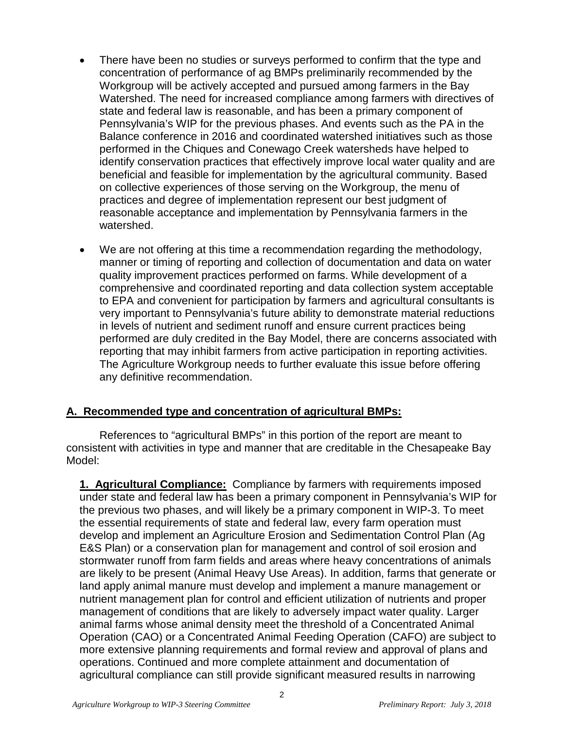- There have been no studies or surveys performed to confirm that the type and concentration of performance of ag BMPs preliminarily recommended by the Workgroup will be actively accepted and pursued among farmers in the Bay Watershed. The need for increased compliance among farmers with directives of state and federal law is reasonable, and has been a primary component of Pennsylvania's WIP for the previous phases. And events such as the PA in the Balance conference in 2016 and coordinated watershed initiatives such as those performed in the Chiques and Conewago Creek watersheds have helped to identify conservation practices that effectively improve local water quality and are beneficial and feasible for implementation by the agricultural community. Based on collective experiences of those serving on the Workgroup, the menu of practices and degree of implementation represent our best judgment of reasonable acceptance and implementation by Pennsylvania farmers in the watershed.
- We are not offering at this time a recommendation regarding the methodology, manner or timing of reporting and collection of documentation and data on water quality improvement practices performed on farms. While development of a comprehensive and coordinated reporting and data collection system acceptable to EPA and convenient for participation by farmers and agricultural consultants is very important to Pennsylvania's future ability to demonstrate material reductions in levels of nutrient and sediment runoff and ensure current practices being performed are duly credited in the Bay Model, there are concerns associated with reporting that may inhibit farmers from active participation in reporting activities. The Agriculture Workgroup needs to further evaluate this issue before offering any definitive recommendation.

# **A. Recommended type and concentration of agricultural BMPs:**

References to "agricultural BMPs" in this portion of the report are meant to consistent with activities in type and manner that are creditable in the Chesapeake Bay Model:

**1. Agricultural Compliance:** Compliance by farmers with requirements imposed under state and federal law has been a primary component in Pennsylvania's WIP for the previous two phases, and will likely be a primary component in WIP-3. To meet the essential requirements of state and federal law, every farm operation must develop and implement an Agriculture Erosion and Sedimentation Control Plan (Ag E&S Plan) or a conservation plan for management and control of soil erosion and stormwater runoff from farm fields and areas where heavy concentrations of animals are likely to be present (Animal Heavy Use Areas). In addition, farms that generate or land apply animal manure must develop and implement a manure management or nutrient management plan for control and efficient utilization of nutrients and proper management of conditions that are likely to adversely impact water quality. Larger animal farms whose animal density meet the threshold of a Concentrated Animal Operation (CAO) or a Concentrated Animal Feeding Operation (CAFO) are subject to more extensive planning requirements and formal review and approval of plans and operations. Continued and more complete attainment and documentation of agricultural compliance can still provide significant measured results in narrowing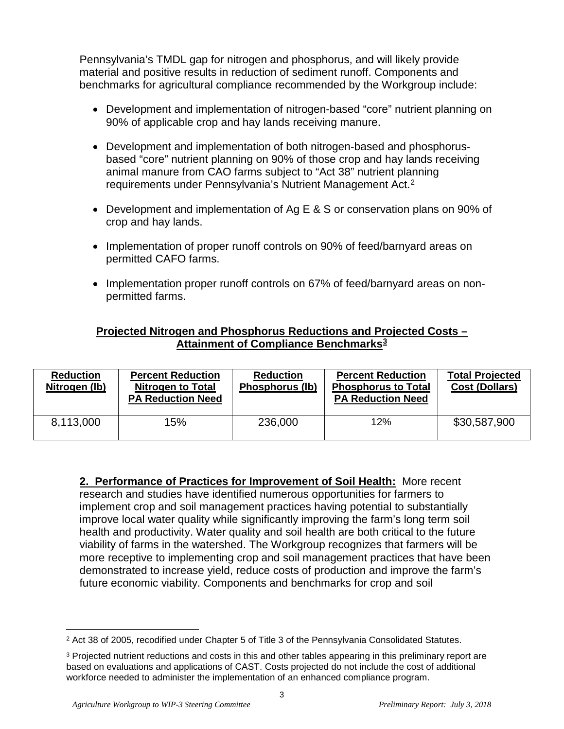Pennsylvania's TMDL gap for nitrogen and phosphorus, and will likely provide material and positive results in reduction of sediment runoff. Components and benchmarks for agricultural compliance recommended by the Workgroup include:

- Development and implementation of nitrogen-based "core" nutrient planning on 90% of applicable crop and hay lands receiving manure.
- Development and implementation of both nitrogen-based and phosphorusbased "core" nutrient planning on 90% of those crop and hay lands receiving animal manure from CAO farms subject to "Act 38" nutrient planning requirements under Pennsylvania's Nutrient Management Act.<sup>[2](#page-2-0)</sup>
- Development and implementation of Ag E & S or conservation plans on 90% of crop and hay lands.
- Implementation of proper runoff controls on 90% of feed/barnyard areas on permitted CAFO farms.
- Implementation proper runoff controls on 67% of feed/barnyard areas on nonpermitted farms.

# **Projected Nitrogen and Phosphorus Reductions and Projected Costs – Attainment of Compliance Benchmarks[3](#page-2-1)**

| <b>Reduction</b><br>Nitrogen (lb) | <b>Percent Reduction</b><br><b>Nitrogen to Total</b><br><b>PA Reduction Need</b> | <b>Reduction</b><br><b>Phosphorus (lb)</b> | <b>Percent Reduction</b><br><b>Phosphorus to Total</b><br><b>PA Reduction Need</b> | <b>Total Projected</b><br><b>Cost (Dollars)</b> |
|-----------------------------------|----------------------------------------------------------------------------------|--------------------------------------------|------------------------------------------------------------------------------------|-------------------------------------------------|
| 8,113,000                         | 15%                                                                              | 236,000                                    | 12%                                                                                | \$30,587,900                                    |

**2. Performance of Practices for Improvement of Soil Health:** More recent research and studies have identified numerous opportunities for farmers to implement crop and soil management practices having potential to substantially improve local water quality while significantly improving the farm's long term soil health and productivity. Water quality and soil health are both critical to the future viability of farms in the watershed. The Workgroup recognizes that farmers will be more receptive to implementing crop and soil management practices that have been demonstrated to increase yield, reduce costs of production and improve the farm's future economic viability. Components and benchmarks for crop and soil

<span id="page-2-0"></span> <sup>2</sup> Act 38 of 2005, recodified under Chapter 5 of Title 3 of the Pennsylvania Consolidated Statutes.

<span id="page-2-1"></span><sup>&</sup>lt;sup>3</sup> Projected nutrient reductions and costs in this and other tables appearing in this preliminary report are based on evaluations and applications of CAST. Costs projected do not include the cost of additional workforce needed to administer the implementation of an enhanced compliance program.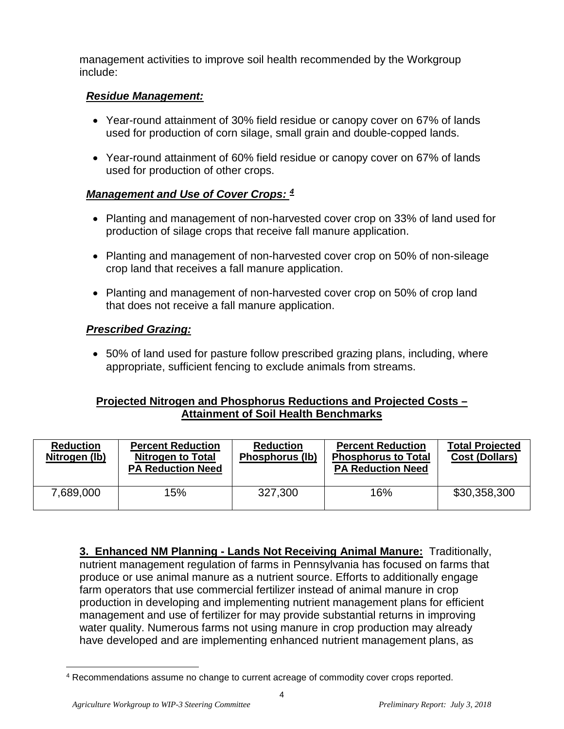management activities to improve soil health recommended by the Workgroup include:

## *Residue Management:*

- Year-round attainment of 30% field residue or canopy cover on 67% of lands used for production of corn silage, small grain and double-copped lands.
- Year-round attainment of 60% field residue or canopy cover on 67% of lands used for production of other crops.

# *Management and Use of Cover Crops: [4](#page-3-0)*

- Planting and management of non-harvested cover crop on 33% of land used for production of silage crops that receive fall manure application.
- Planting and management of non-harvested cover crop on 50% of non-sileage crop land that receives a fall manure application.
- Planting and management of non-harvested cover crop on 50% of crop land that does not receive a fall manure application.

## *Prescribed Grazing:*

• 50% of land used for pasture follow prescribed grazing plans, including, where appropriate, sufficient fencing to exclude animals from streams.

## **Projected Nitrogen and Phosphorus Reductions and Projected Costs – Attainment of Soil Health Benchmarks**

| <b>Reduction</b><br>Nitrogen (lb) | <b>Percent Reduction</b><br><b>Nitrogen to Total</b><br><b>PA Reduction Need</b> | <b>Reduction</b><br>Phosphorus (lb) | <b>Percent Reduction</b><br><b>Phosphorus to Total</b><br><b>PA Reduction Need</b> | <b>Total Projected</b><br><b>Cost (Dollars)</b> |
|-----------------------------------|----------------------------------------------------------------------------------|-------------------------------------|------------------------------------------------------------------------------------|-------------------------------------------------|
| 7,689,000                         | 15%                                                                              | 327,300                             | 16%                                                                                | \$30,358,300                                    |

**3. Enhanced NM Planning - Lands Not Receiving Animal Manure:** Traditionally, nutrient management regulation of farms in Pennsylvania has focused on farms that produce or use animal manure as a nutrient source. Efforts to additionally engage farm operators that use commercial fertilizer instead of animal manure in crop production in developing and implementing nutrient management plans for efficient management and use of fertilizer for may provide substantial returns in improving water quality. Numerous farms not using manure in crop production may already have developed and are implementing enhanced nutrient management plans, as

<span id="page-3-0"></span> <sup>4</sup> Recommendations assume no change to current acreage of commodity cover crops reported.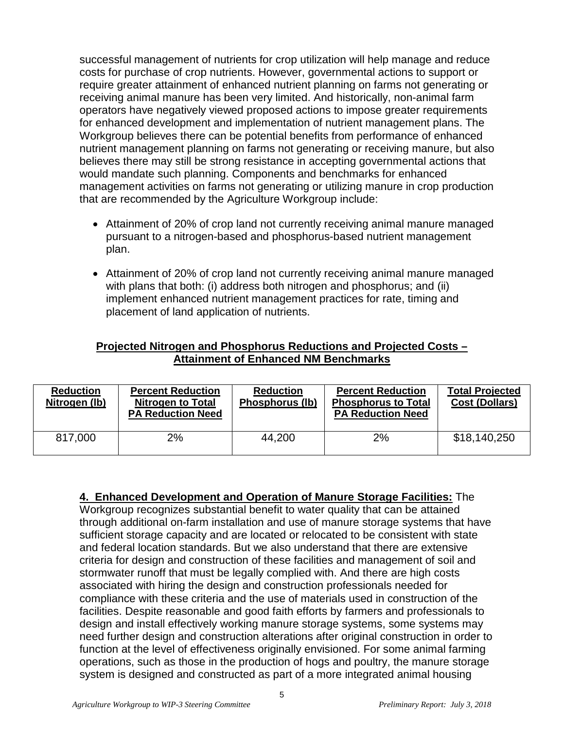successful management of nutrients for crop utilization will help manage and reduce costs for purchase of crop nutrients. However, governmental actions to support or require greater attainment of enhanced nutrient planning on farms not generating or receiving animal manure has been very limited. And historically, non-animal farm operators have negatively viewed proposed actions to impose greater requirements for enhanced development and implementation of nutrient management plans. The Workgroup believes there can be potential benefits from performance of enhanced nutrient management planning on farms not generating or receiving manure, but also believes there may still be strong resistance in accepting governmental actions that would mandate such planning. Components and benchmarks for enhanced management activities on farms not generating or utilizing manure in crop production that are recommended by the Agriculture Workgroup include:

- Attainment of 20% of crop land not currently receiving animal manure managed pursuant to a nitrogen-based and phosphorus-based nutrient management plan.
- Attainment of 20% of crop land not currently receiving animal manure managed with plans that both: (i) address both nitrogen and phosphorus; and (ii) implement enhanced nutrient management practices for rate, timing and placement of land application of nutrients.

## **Projected Nitrogen and Phosphorus Reductions and Projected Costs – Attainment of Enhanced NM Benchmarks**

| <b>Reduction</b><br>Nitrogen (lb) | <b>Percent Reduction</b><br><b>Nitrogen to Total</b><br><b>PA Reduction Need</b> | <b>Reduction</b><br><b>Phosphorus (lb)</b> | <b>Percent Reduction</b><br><b>Phosphorus to Total</b><br><b>PA Reduction Need</b> | <b>Total Projected</b><br><b>Cost (Dollars)</b> |
|-----------------------------------|----------------------------------------------------------------------------------|--------------------------------------------|------------------------------------------------------------------------------------|-------------------------------------------------|
| 817,000                           | 2%                                                                               | 44.200                                     | 2%                                                                                 | \$18,140,250                                    |

**4. Enhanced Development and Operation of Manure Storage Facilities:** The

Workgroup recognizes substantial benefit to water quality that can be attained through additional on-farm installation and use of manure storage systems that have sufficient storage capacity and are located or relocated to be consistent with state and federal location standards. But we also understand that there are extensive criteria for design and construction of these facilities and management of soil and stormwater runoff that must be legally complied with. And there are high costs associated with hiring the design and construction professionals needed for compliance with these criteria and the use of materials used in construction of the facilities. Despite reasonable and good faith efforts by farmers and professionals to design and install effectively working manure storage systems, some systems may need further design and construction alterations after original construction in order to function at the level of effectiveness originally envisioned. For some animal farming operations, such as those in the production of hogs and poultry, the manure storage system is designed and constructed as part of a more integrated animal housing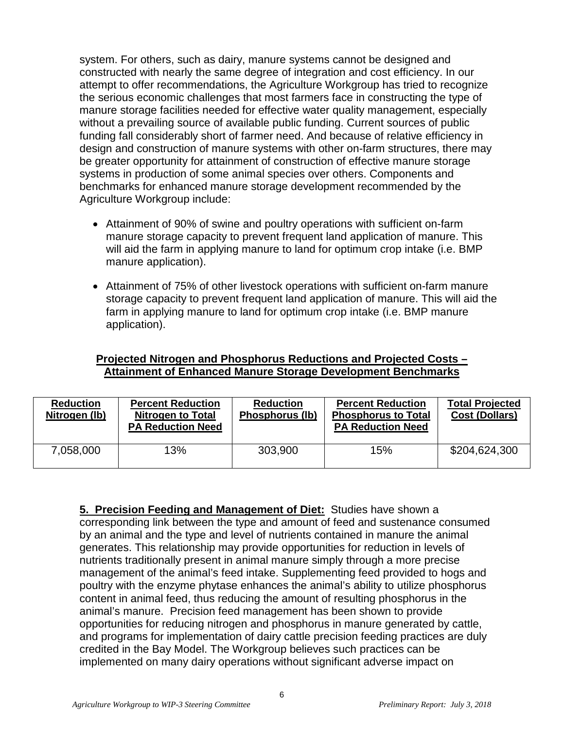system. For others, such as dairy, manure systems cannot be designed and constructed with nearly the same degree of integration and cost efficiency. In our attempt to offer recommendations, the Agriculture Workgroup has tried to recognize the serious economic challenges that most farmers face in constructing the type of manure storage facilities needed for effective water quality management, especially without a prevailing source of available public funding. Current sources of public funding fall considerably short of farmer need. And because of relative efficiency in design and construction of manure systems with other on-farm structures, there may be greater opportunity for attainment of construction of effective manure storage systems in production of some animal species over others. Components and benchmarks for enhanced manure storage development recommended by the Agriculture Workgroup include:

- Attainment of 90% of swine and poultry operations with sufficient on-farm manure storage capacity to prevent frequent land application of manure. This will aid the farm in applying manure to land for optimum crop intake (i.e. BMP manure application).
- Attainment of 75% of other livestock operations with sufficient on-farm manure storage capacity to prevent frequent land application of manure. This will aid the farm in applying manure to land for optimum crop intake (i.e. BMP manure application).

#### **Projected Nitrogen and Phosphorus Reductions and Projected Costs – Attainment of Enhanced Manure Storage Development Benchmarks**

| <b>Reduction</b><br>Nitrogen (lb) | <b>Percent Reduction</b><br><b>Nitrogen to Total</b><br><b>PA Reduction Need</b> | <b>Reduction</b><br>Phosphorus (lb) | <b>Percent Reduction</b><br><b>Phosphorus to Total</b><br><b>PA Reduction Need</b> | <b>Total Projected</b><br><b>Cost (Dollars)</b> |
|-----------------------------------|----------------------------------------------------------------------------------|-------------------------------------|------------------------------------------------------------------------------------|-------------------------------------------------|
| 7,058,000                         | 13%                                                                              | 303,900                             | 15%                                                                                | \$204,624,300                                   |

**5. Precision Feeding and Management of Diet:** Studies have shown a corresponding link between the type and amount of feed and sustenance consumed by an animal and the type and level of nutrients contained in manure the animal generates. This relationship may provide opportunities for reduction in levels of nutrients traditionally present in animal manure simply through a more precise management of the animal's feed intake. Supplementing feed provided to hogs and poultry with the enzyme phytase enhances the animal's ability to utilize phosphorus content in animal feed, thus reducing the amount of resulting phosphorus in the animal's manure. Precision feed management has been shown to provide opportunities for reducing nitrogen and phosphorus in manure generated by cattle, and programs for implementation of dairy cattle precision feeding practices are duly credited in the Bay Model. The Workgroup believes such practices can be implemented on many dairy operations without significant adverse impact on

6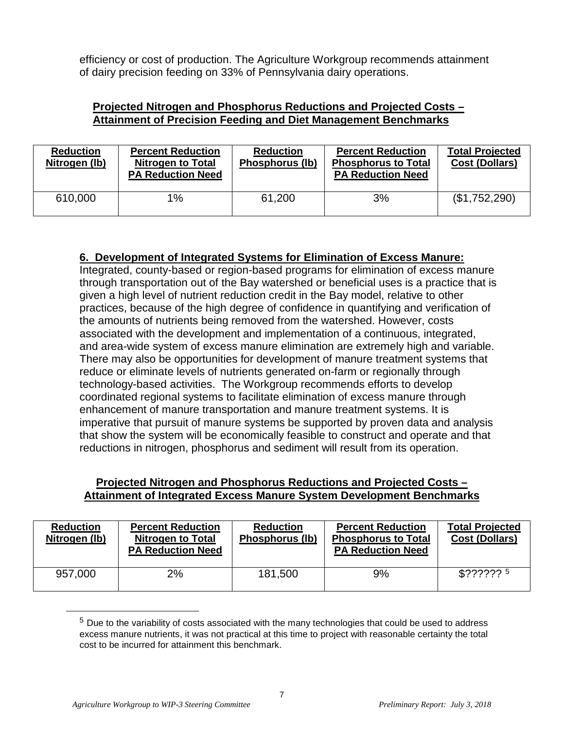efficiency or cost of production. The Agriculture Workgroup recommends attainment of dairy precision feeding on 33% of Pennsylvania dairy operations.

#### **Projected Nitrogen and Phosphorus Reductions and Projected Costs – Attainment of Precision Feeding and Diet Management Benchmarks**

| <b>Reduction</b><br>Nitrogen (lb) | <b>Percent Reduction</b><br><b>Nitrogen to Total</b><br><b>PA Reduction Need</b> | <b>Reduction</b><br>Phosphorus (lb) | <b>Percent Reduction</b><br><b>Phosphorus to Total</b><br><b>PA Reduction Need</b> | <b>Total Projected</b><br><b>Cost (Dollars)</b> |
|-----------------------------------|----------------------------------------------------------------------------------|-------------------------------------|------------------------------------------------------------------------------------|-------------------------------------------------|
| 610,000                           | 1%                                                                               | 61,200                              | 3%                                                                                 | (\$1,752,290)                                   |

# **6. Development of Integrated Systems for Elimination of Excess Manure:**

Integrated, county-based or region-based programs for elimination of excess manure through transportation out of the Bay watershed or beneficial uses is a practice that is given a high level of nutrient reduction credit in the Bay model, relative to other practices, because of the high degree of confidence in quantifying and verification of the amounts of nutrients being removed from the watershed. However, costs associated with the development and implementation of a continuous, integrated, and area-wide system of excess manure elimination are extremely high and variable. There may also be opportunities for development of manure treatment systems that reduce or eliminate levels of nutrients generated on-farm or regionally through technology-based activities. The Workgroup recommends efforts to develop coordinated regional systems to facilitate elimination of excess manure through enhancement of manure transportation and manure treatment systems. It is imperative that pursuit of manure systems be supported by proven data and analysis that show the system will be economically feasible to construct and operate and that reductions in nitrogen, phosphorus and sediment will result from its operation.

## **Projected Nitrogen and Phosphorus Reductions and Projected Costs – Attainment of Integrated Excess Manure System Development Benchmarks**

| <b>Reduction</b><br>Nitrogen (lb) | <b>Percent Reduction</b><br><b>Nitrogen to Total</b><br><b>PA Reduction Need</b> | <b>Reduction</b><br>Phosphorus (lb) | <b>Percent Reduction</b><br><b>Phosphorus to Total</b><br><b>PA Reduction Need</b> | <b>Total Projected</b><br><b>Cost (Dollars)</b> |
|-----------------------------------|----------------------------------------------------------------------------------|-------------------------------------|------------------------------------------------------------------------------------|-------------------------------------------------|
| 957,000                           | 2%                                                                               | 181,500                             | 9%                                                                                 | $$??\frac{????}{?}$                             |

<span id="page-6-0"></span> $5$  Due to the variability of costs associated with the many technologies that could be used to address excess manure nutrients, it was not practical at this time to project with reasonable certainty the total cost to be incurred for attainment this benchmark.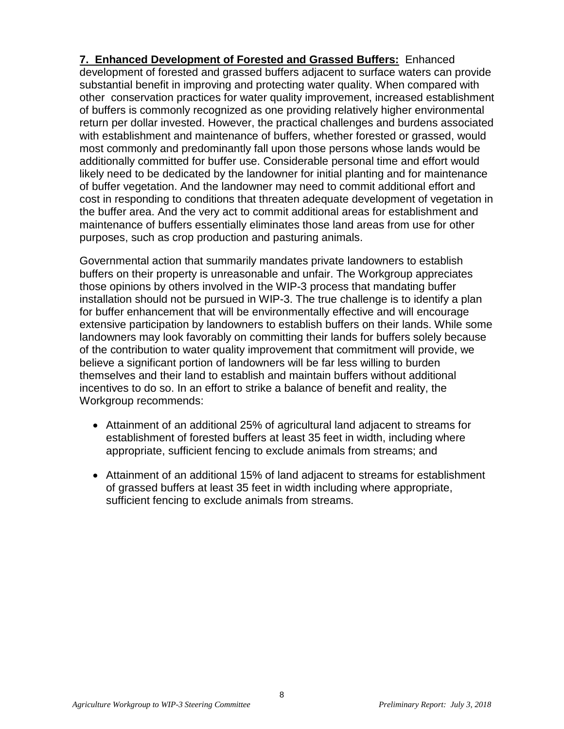**7. Enhanced Development of Forested and Grassed Buffers:** Enhanced development of forested and grassed buffers adjacent to surface waters can provide substantial benefit in improving and protecting water quality. When compared with other conservation practices for water quality improvement, increased establishment of buffers is commonly recognized as one providing relatively higher environmental return per dollar invested. However, the practical challenges and burdens associated with establishment and maintenance of buffers, whether forested or grassed, would most commonly and predominantly fall upon those persons whose lands would be additionally committed for buffer use. Considerable personal time and effort would likely need to be dedicated by the landowner for initial planting and for maintenance of buffer vegetation. And the landowner may need to commit additional effort and cost in responding to conditions that threaten adequate development of vegetation in the buffer area. And the very act to commit additional areas for establishment and maintenance of buffers essentially eliminates those land areas from use for other purposes, such as crop production and pasturing animals.

Governmental action that summarily mandates private landowners to establish buffers on their property is unreasonable and unfair. The Workgroup appreciates those opinions by others involved in the WIP-3 process that mandating buffer installation should not be pursued in WIP-3. The true challenge is to identify a plan for buffer enhancement that will be environmentally effective and will encourage extensive participation by landowners to establish buffers on their lands. While some landowners may look favorably on committing their lands for buffers solely because of the contribution to water quality improvement that commitment will provide, we believe a significant portion of landowners will be far less willing to burden themselves and their land to establish and maintain buffers without additional incentives to do so. In an effort to strike a balance of benefit and reality, the Workgroup recommends:

- Attainment of an additional 25% of agricultural land adjacent to streams for establishment of forested buffers at least 35 feet in width, including where appropriate, sufficient fencing to exclude animals from streams; and
- Attainment of an additional 15% of land adjacent to streams for establishment of grassed buffers at least 35 feet in width including where appropriate, sufficient fencing to exclude animals from streams.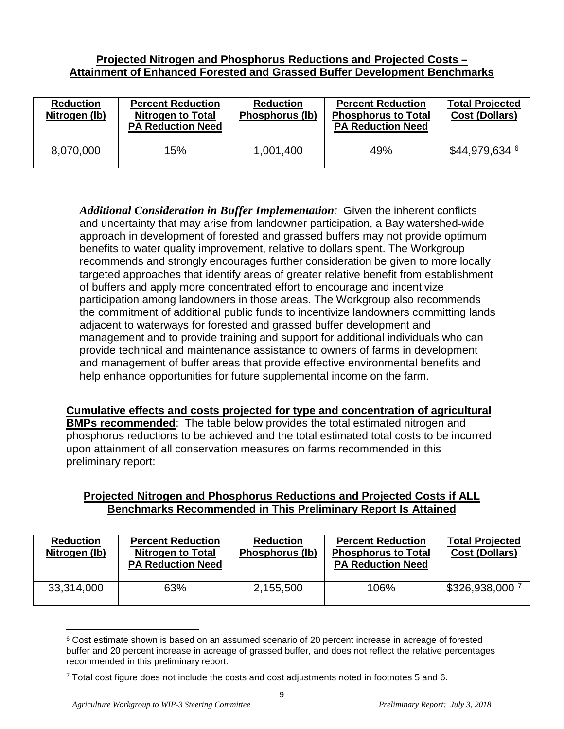## **Projected Nitrogen and Phosphorus Reductions and Projected Costs – Attainment of Enhanced Forested and Grassed Buffer Development Benchmarks**

| <b>Reduction</b><br>Nitrogen (lb) | <b>Percent Reduction</b><br><b>Nitrogen to Total</b><br><b>PA Reduction Need</b> | <b>Reduction</b><br>Phosphorus (lb) | <b>Percent Reduction</b><br><b>Phosphorus to Total</b><br><b>PA Reduction Need</b> | <b>Total Projected</b><br><b>Cost (Dollars)</b> |
|-----------------------------------|----------------------------------------------------------------------------------|-------------------------------------|------------------------------------------------------------------------------------|-------------------------------------------------|
| 8,070,000                         | 15%                                                                              | 1,001,400                           | 49%                                                                                | \$44,979,634 <sup>6</sup>                       |

*Additional Consideration in Buffer Implementation:* Given the inherent conflicts and uncertainty that may arise from landowner participation, a Bay watershed-wide approach in development of forested and grassed buffers may not provide optimum benefits to water quality improvement, relative to dollars spent. The Workgroup recommends and strongly encourages further consideration be given to more locally targeted approaches that identify areas of greater relative benefit from establishment of buffers and apply more concentrated effort to encourage and incentivize participation among landowners in those areas. The Workgroup also recommends the commitment of additional public funds to incentivize landowners committing lands adjacent to waterways for forested and grassed buffer development and management and to provide training and support for additional individuals who can provide technical and maintenance assistance to owners of farms in development and management of buffer areas that provide effective environmental benefits and help enhance opportunities for future supplemental income on the farm.

**Cumulative effects and costs projected for type and concentration of agricultural BMPs recommended**: The table below provides the total estimated nitrogen and phosphorus reductions to be achieved and the total estimated total costs to be incurred upon attainment of all conservation measures on farms recommended in this preliminary report:

# **Projected Nitrogen and Phosphorus Reductions and Projected Costs if ALL Benchmarks Recommended in This Preliminary Report Is Attained**

| <b>Reduction</b><br>Nitrogen (lb) | <b>Percent Reduction</b><br><b>Nitrogen to Total</b><br><b>PA Reduction Need</b> | <b>Reduction</b><br>Phosphorus (lb) | <b>Percent Reduction</b><br><b>Phosphorus to Total</b><br><b>PA Reduction Need</b> | <b>Total Projected</b><br><b>Cost (Dollars)</b> |
|-----------------------------------|----------------------------------------------------------------------------------|-------------------------------------|------------------------------------------------------------------------------------|-------------------------------------------------|
| 33,314,000                        | 63%                                                                              | 2,155,500                           | 106%                                                                               | $$326,938,000$ <sup>7</sup>                     |

<span id="page-8-0"></span><sup>&</sup>lt;sup>6</sup> Cost estimate shown is based on an assumed scenario of 20 percent increase in acreage of forested buffer and 20 percent increase in acreage of grassed buffer, and does not reflect the relative percentages recommended in this preliminary report.

<span id="page-8-1"></span><sup>7</sup> Total cost figure does not include the costs and cost adjustments noted in footnotes 5 and 6.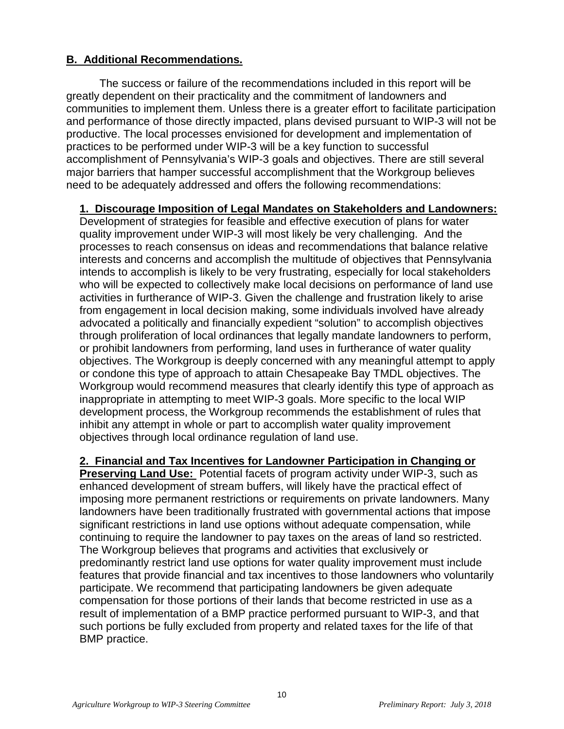# **B. Additional Recommendations.**

The success or failure of the recommendations included in this report will be greatly dependent on their practicality and the commitment of landowners and communities to implement them. Unless there is a greater effort to facilitate participation and performance of those directly impacted, plans devised pursuant to WIP-3 will not be productive. The local processes envisioned for development and implementation of practices to be performed under WIP-3 will be a key function to successful accomplishment of Pennsylvania's WIP-3 goals and objectives. There are still several major barriers that hamper successful accomplishment that the Workgroup believes need to be adequately addressed and offers the following recommendations:

# **1. Discourage Imposition of Legal Mandates on Stakeholders and Landowners:**

Development of strategies for feasible and effective execution of plans for water quality improvement under WIP-3 will most likely be very challenging. And the processes to reach consensus on ideas and recommendations that balance relative interests and concerns and accomplish the multitude of objectives that Pennsylvania intends to accomplish is likely to be very frustrating, especially for local stakeholders who will be expected to collectively make local decisions on performance of land use activities in furtherance of WIP-3. Given the challenge and frustration likely to arise from engagement in local decision making, some individuals involved have already advocated a politically and financially expedient "solution" to accomplish objectives through proliferation of local ordinances that legally mandate landowners to perform, or prohibit landowners from performing, land uses in furtherance of water quality objectives. The Workgroup is deeply concerned with any meaningful attempt to apply or condone this type of approach to attain Chesapeake Bay TMDL objectives. The Workgroup would recommend measures that clearly identify this type of approach as inappropriate in attempting to meet WIP-3 goals. More specific to the local WIP development process, the Workgroup recommends the establishment of rules that inhibit any attempt in whole or part to accomplish water quality improvement objectives through local ordinance regulation of land use.

#### **2. Financial and Tax Incentives for Landowner Participation in Changing or**

**Preserving Land Use:** Potential facets of program activity under WIP-3, such as enhanced development of stream buffers, will likely have the practical effect of imposing more permanent restrictions or requirements on private landowners. Many landowners have been traditionally frustrated with governmental actions that impose significant restrictions in land use options without adequate compensation, while continuing to require the landowner to pay taxes on the areas of land so restricted. The Workgroup believes that programs and activities that exclusively or predominantly restrict land use options for water quality improvement must include features that provide financial and tax incentives to those landowners who voluntarily participate. We recommend that participating landowners be given adequate compensation for those portions of their lands that become restricted in use as a result of implementation of a BMP practice performed pursuant to WIP-3, and that such portions be fully excluded from property and related taxes for the life of that BMP practice.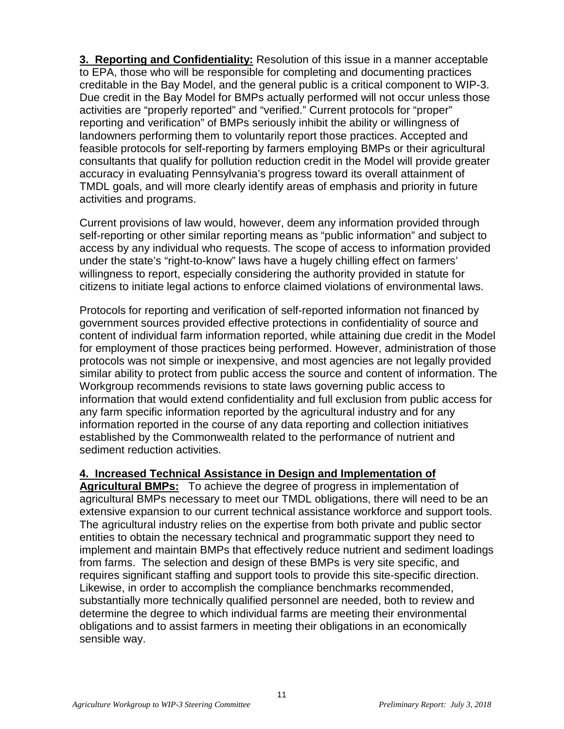**3. Reporting and Confidentiality:** Resolution of this issue in a manner acceptable to EPA, those who will be responsible for completing and documenting practices creditable in the Bay Model, and the general public is a critical component to WIP-3. Due credit in the Bay Model for BMPs actually performed will not occur unless those activities are "properly reported" and "verified." Current protocols for "proper" reporting and verification" of BMPs seriously inhibit the ability or willingness of landowners performing them to voluntarily report those practices. Accepted and feasible protocols for self-reporting by farmers employing BMPs or their agricultural consultants that qualify for pollution reduction credit in the Model will provide greater accuracy in evaluating Pennsylvania's progress toward its overall attainment of TMDL goals, and will more clearly identify areas of emphasis and priority in future activities and programs.

Current provisions of law would, however, deem any information provided through self-reporting or other similar reporting means as "public information" and subject to access by any individual who requests. The scope of access to information provided under the state's "right-to-know" laws have a hugely chilling effect on farmers' willingness to report, especially considering the authority provided in statute for citizens to initiate legal actions to enforce claimed violations of environmental laws.

Protocols for reporting and verification of self-reported information not financed by government sources provided effective protections in confidentiality of source and content of individual farm information reported, while attaining due credit in the Model for employment of those practices being performed. However, administration of those protocols was not simple or inexpensive, and most agencies are not legally provided similar ability to protect from public access the source and content of information. The Workgroup recommends revisions to state laws governing public access to information that would extend confidentiality and full exclusion from public access for any farm specific information reported by the agricultural industry and for any information reported in the course of any data reporting and collection initiatives established by the Commonwealth related to the performance of nutrient and sediment reduction activities.

#### **4. Increased Technical Assistance in Design and Implementation of**

**Agricultural BMPs:** To achieve the degree of progress in implementation of agricultural BMPs necessary to meet our TMDL obligations, there will need to be an extensive expansion to our current technical assistance workforce and support tools. The agricultural industry relies on the expertise from both private and public sector entities to obtain the necessary technical and programmatic support they need to implement and maintain BMPs that effectively reduce nutrient and sediment loadings from farms. The selection and design of these BMPs is very site specific, and requires significant staffing and support tools to provide this site-specific direction. Likewise, in order to accomplish the compliance benchmarks recommended, substantially more technically qualified personnel are needed, both to review and determine the degree to which individual farms are meeting their environmental obligations and to assist farmers in meeting their obligations in an economically sensible way.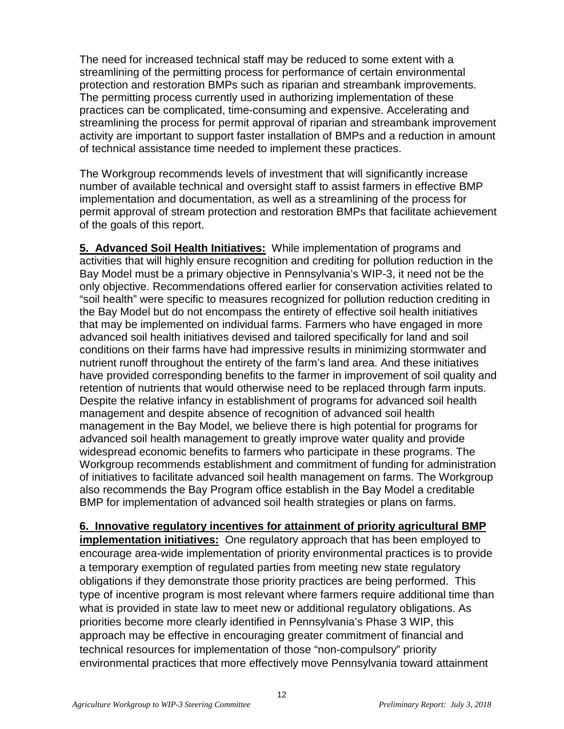The need for increased technical staff may be reduced to some extent with a streamlining of the permitting process for performance of certain environmental protection and restoration BMPs such as riparian and streambank improvements. The permitting process currently used in authorizing implementation of these practices can be complicated, time-consuming and expensive. Accelerating and streamlining the process for permit approval of riparian and streambank improvement activity are important to support faster installation of BMPs and a reduction in amount of technical assistance time needed to implement these practices.

The Workgroup recommends levels of investment that will significantly increase number of available technical and oversight staff to assist farmers in effective BMP implementation and documentation, as well as a streamlining of the process for permit approval of stream protection and restoration BMPs that facilitate achievement of the goals of this report.

**5. Advanced Soil Health Initiatives:** While implementation of programs and activities that will highly ensure recognition and crediting for pollution reduction in the Bay Model must be a primary objective in Pennsylvania's WIP-3, it need not be the only objective. Recommendations offered earlier for conservation activities related to "soil health" were specific to measures recognized for pollution reduction crediting in the Bay Model but do not encompass the entirety of effective soil health initiatives that may be implemented on individual farms. Farmers who have engaged in more advanced soil health initiatives devised and tailored specifically for land and soil conditions on their farms have had impressive results in minimizing stormwater and nutrient runoff throughout the entirety of the farm's land area. And these initiatives have provided corresponding benefits to the farmer in improvement of soil quality and retention of nutrients that would otherwise need to be replaced through farm inputs. Despite the relative infancy in establishment of programs for advanced soil health management and despite absence of recognition of advanced soil health management in the Bay Model, we believe there is high potential for programs for advanced soil health management to greatly improve water quality and provide widespread economic benefits to farmers who participate in these programs. The Workgroup recommends establishment and commitment of funding for administration of initiatives to facilitate advanced soil health management on farms. The Workgroup also recommends the Bay Program office establish in the Bay Model a creditable BMP for implementation of advanced soil health strategies or plans on farms.

**6. Innovative regulatory incentives for attainment of priority agricultural BMP implementation initiatives:** One regulatory approach that has been employed to encourage area-wide implementation of priority environmental practices is to provide a temporary exemption of regulated parties from meeting new state regulatory obligations if they demonstrate those priority practices are being performed. This type of incentive program is most relevant where farmers require additional time than what is provided in state law to meet new or additional regulatory obligations. As priorities become more clearly identified in Pennsylvania's Phase 3 WIP, this approach may be effective in encouraging greater commitment of financial and technical resources for implementation of those "non-compulsory" priority environmental practices that more effectively move Pennsylvania toward attainment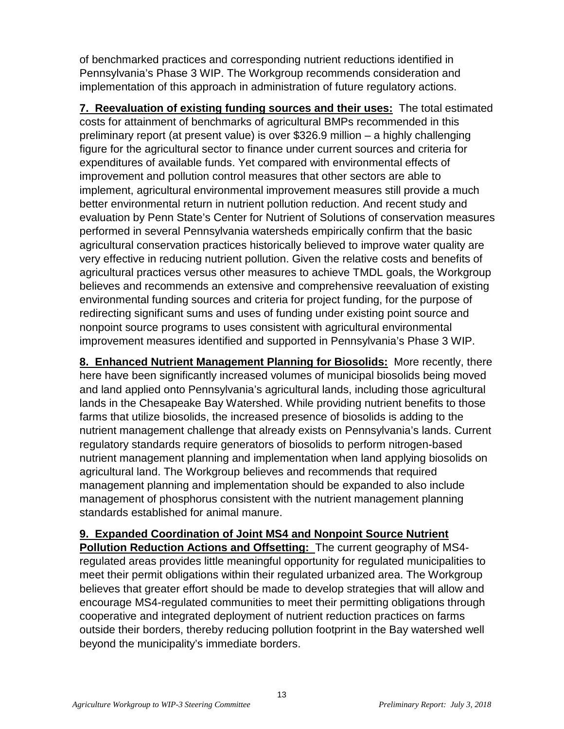of benchmarked practices and corresponding nutrient reductions identified in Pennsylvania's Phase 3 WIP. The Workgroup recommends consideration and implementation of this approach in administration of future regulatory actions.

**7. Reevaluation of existing funding sources and their uses:** The total estimated costs for attainment of benchmarks of agricultural BMPs recommended in this preliminary report (at present value) is over \$326.9 million – a highly challenging figure for the agricultural sector to finance under current sources and criteria for expenditures of available funds. Yet compared with environmental effects of improvement and pollution control measures that other sectors are able to implement, agricultural environmental improvement measures still provide a much better environmental return in nutrient pollution reduction. And recent study and evaluation by Penn State's Center for Nutrient of Solutions of conservation measures performed in several Pennsylvania watersheds empirically confirm that the basic agricultural conservation practices historically believed to improve water quality are very effective in reducing nutrient pollution. Given the relative costs and benefits of agricultural practices versus other measures to achieve TMDL goals, the Workgroup believes and recommends an extensive and comprehensive reevaluation of existing environmental funding sources and criteria for project funding, for the purpose of redirecting significant sums and uses of funding under existing point source and nonpoint source programs to uses consistent with agricultural environmental improvement measures identified and supported in Pennsylvania's Phase 3 WIP.

**8. Enhanced Nutrient Management Planning for Biosolids:** More recently, there here have been significantly increased volumes of municipal biosolids being moved and land applied onto Pennsylvania's agricultural lands, including those agricultural lands in the Chesapeake Bay Watershed. While providing nutrient benefits to those farms that utilize biosolids, the increased presence of biosolids is adding to the nutrient management challenge that already exists on Pennsylvania's lands. Current regulatory standards require generators of biosolids to perform nitrogen-based nutrient management planning and implementation when land applying biosolids on agricultural land. The Workgroup believes and recommends that required management planning and implementation should be expanded to also include management of phosphorus consistent with the nutrient management planning standards established for animal manure.

**9. Expanded Coordination of Joint MS4 and Nonpoint Source Nutrient** 

**Pollution Reduction Actions and Offsetting:** The current geography of MS4 regulated areas provides little meaningful opportunity for regulated municipalities to meet their permit obligations within their regulated urbanized area. The Workgroup believes that greater effort should be made to develop strategies that will allow and encourage MS4-regulated communities to meet their permitting obligations through cooperative and integrated deployment of nutrient reduction practices on farms outside their borders, thereby reducing pollution footprint in the Bay watershed well beyond the municipality's immediate borders.